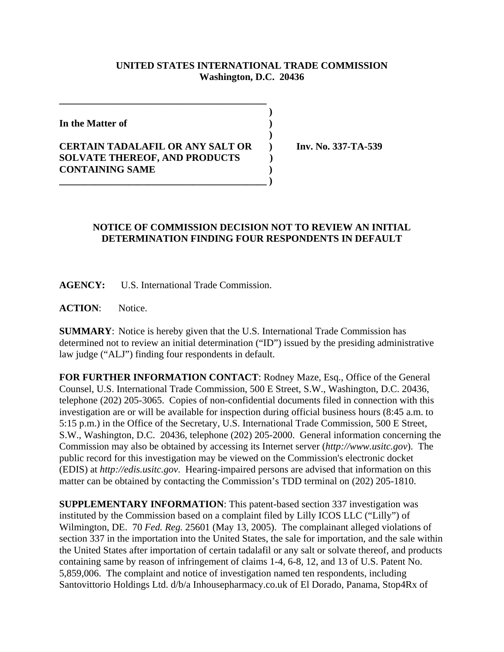## **UNITED STATES INTERNATIONAL TRADE COMMISSION Washington, D.C. 20436**

 **)**

 **)**

**In the Matter of )**

## **CERTAIN TADALAFIL OR ANY SALT OR ) Inv. No. 337-TA-539 SOLVATE THEREOF, AND PRODUCTS ) CONTAINING SAME ) \_\_\_\_\_\_\_\_\_\_\_\_\_\_\_\_\_\_\_\_\_\_\_\_\_\_\_\_\_\_\_\_\_\_\_\_\_\_\_\_\_\_ )**

**\_\_\_\_\_\_\_\_\_\_\_\_\_\_\_\_\_\_\_\_\_\_\_\_\_\_\_\_\_\_\_\_\_\_\_\_\_\_\_\_\_\_**

## **NOTICE OF COMMISSION DECISION NOT TO REVIEW AN INITIAL DETERMINATION FINDING FOUR RESPONDENTS IN DEFAULT**

**AGENCY:** U.S. International Trade Commission.

**ACTION**: Notice.

**SUMMARY**: Notice is hereby given that the U.S. International Trade Commission has determined not to review an initial determination ("ID") issued by the presiding administrative law judge ("ALJ") finding four respondents in default.

**FOR FURTHER INFORMATION CONTACT**: Rodney Maze, Esq., Office of the General Counsel, U.S. International Trade Commission, 500 E Street, S.W., Washington, D.C. 20436, telephone (202) 205-3065. Copies of non-confidential documents filed in connection with this investigation are or will be available for inspection during official business hours (8:45 a.m. to 5:15 p.m.) in the Office of the Secretary, U.S. International Trade Commission, 500 E Street, S.W., Washington, D.C. 20436, telephone (202) 205-2000. General information concerning the Commission may also be obtained by accessing its Internet server (*http://www.usitc.gov*). The public record for this investigation may be viewed on the Commission's electronic docket (EDIS) at *http://edis.usitc.gov*. Hearing-impaired persons are advised that information on this matter can be obtained by contacting the Commission's TDD terminal on (202) 205-1810.

**SUPPLEMENTARY INFORMATION**: This patent-based section 337 investigation was instituted by the Commission based on a complaint filed by Lilly ICOS LLC ("Lilly") of Wilmington, DE. 70 *Fed. Reg.* 25601 (May 13, 2005). The complainant alleged violations of section 337 in the importation into the United States, the sale for importation, and the sale within the United States after importation of certain tadalafil or any salt or solvate thereof, and products containing same by reason of infringement of claims 1-4, 6-8, 12, and 13 of U.S. Patent No. 5,859,006. The complaint and notice of investigation named ten respondents, including Santovittorio Holdings Ltd. d/b/a Inhousepharmacy.co.uk of El Dorado, Panama, Stop4Rx of